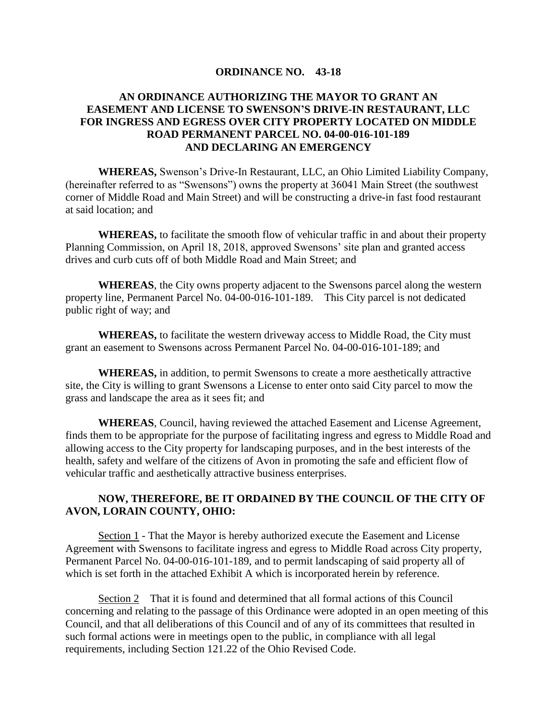## **ORDINANCE NO. 43-18**

## **AN ORDINANCE AUTHORIZING THE MAYOR TO GRANT AN EASEMENT AND LICENSE TO SWENSON'S DRIVE-IN RESTAURANT, LLC FOR INGRESS AND EGRESS OVER CITY PROPERTY LOCATED ON MIDDLE ROAD PERMANENT PARCEL NO. 04-00-016-101-189 AND DECLARING AN EMERGENCY**

**WHEREAS,** Swenson's Drive-In Restaurant, LLC, an Ohio Limited Liability Company, (hereinafter referred to as "Swensons") owns the property at 36041 Main Street (the southwest corner of Middle Road and Main Street) and will be constructing a drive-in fast food restaurant at said location; and

**WHEREAS,** to facilitate the smooth flow of vehicular traffic in and about their property Planning Commission, on April 18, 2018, approved Swensons' site plan and granted access drives and curb cuts off of both Middle Road and Main Street; and

**WHEREAS**, the City owns property adjacent to the Swensons parcel along the western property line, Permanent Parcel No. 04-00-016-101-189. This City parcel is not dedicated public right of way; and

**WHEREAS,** to facilitate the western driveway access to Middle Road, the City must grant an easement to Swensons across Permanent Parcel No. 04-00-016-101-189; and

**WHEREAS,** in addition, to permit Swensons to create a more aesthetically attractive site, the City is willing to grant Swensons a License to enter onto said City parcel to mow the grass and landscape the area as it sees fit; and

**WHEREAS**, Council, having reviewed the attached Easement and License Agreement, finds them to be appropriate for the purpose of facilitating ingress and egress to Middle Road and allowing access to the City property for landscaping purposes, and in the best interests of the health, safety and welfare of the citizens of Avon in promoting the safe and efficient flow of vehicular traffic and aesthetically attractive business enterprises.

## **NOW, THEREFORE, BE IT ORDAINED BY THE COUNCIL OF THE CITY OF AVON, LORAIN COUNTY, OHIO:**

Section 1 - That the Mayor is hereby authorized execute the Easement and License Agreement with Swensons to facilitate ingress and egress to Middle Road across City property, Permanent Parcel No. 04-00-016-101-189, and to permit landscaping of said property all of which is set forth in the attached Exhibit A which is incorporated herein by reference.

Section 2 That it is found and determined that all formal actions of this Council concerning and relating to the passage of this Ordinance were adopted in an open meeting of this Council, and that all deliberations of this Council and of any of its committees that resulted in such formal actions were in meetings open to the public, in compliance with all legal requirements, including Section 121.22 of the Ohio Revised Code.